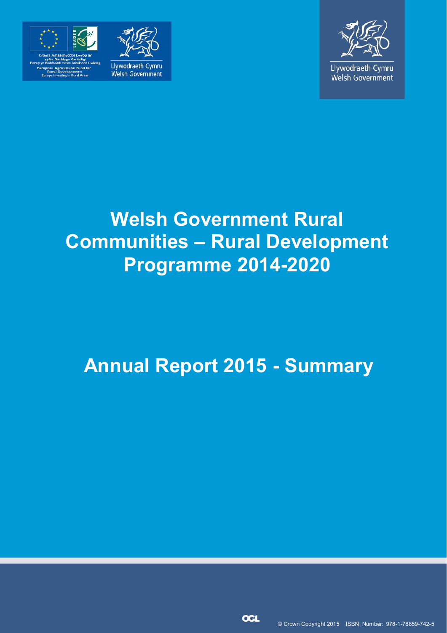

elopment:<br>a in Presi Arcor





# **Welsh Government Rural Communities – Rural Development Programme 2014-2020**

# **Annual Report 2015 - Summary**

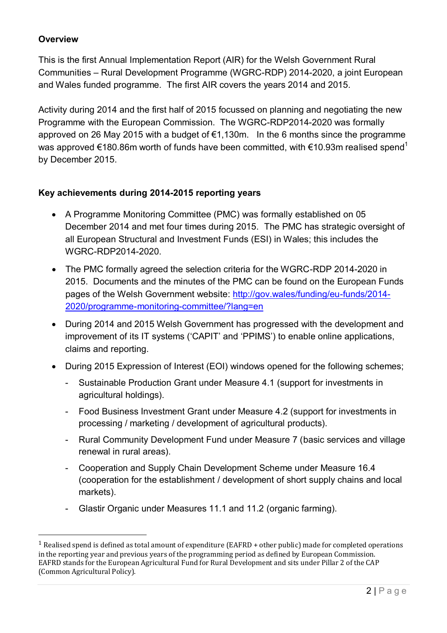## **Overview**

l

This is the first Annual Implementation Report (AIR) for the Welsh Government Rural Communities – Rural Development Programme (WGRC-RDP) 2014-2020, a joint European and Wales funded programme. The first AIR covers the years 2014 and 2015.

Activity during 2014 and the first half of 2015 focussed on planning and negotiating the new Programme with the European Commission. The WGRC-RDP2014-2020 was formally approved on 26 May 2015 with a budget of €1,130m. In the 6 months since the programme was approved  $\epsilon$ 180.86m worth of funds have been committed, with  $\epsilon$ 10.93m realised spend<sup>1</sup> by December 2015.

#### **Key achievements during 2014-2015 reporting years**

- A Programme Monitoring Committee (PMC) was formally established on 05 December 2014 and met four times during 2015. The PMC has strategic oversight of all European Structural and Investment Funds (ESI) in Wales; this includes the WGRC-RDP2014-2020.
- The PMC formally agreed the selection criteria for the WGRC-RDP 2014-2020 in 2015. Documents and the minutes of the PMC can be found on the European Funds pages of the Welsh Government website: [http://gov.wales/funding/eu-funds/2014-](http://gov.wales/funding/eu-funds/2014-2020/programme-monitoring-committee/?lang=en) [2020/programme-monitoring-committee/?lang=en](http://gov.wales/funding/eu-funds/2014-2020/programme-monitoring-committee/?lang=en)
- During 2014 and 2015 Welsh Government has progressed with the development and improvement of its IT systems ('CAPIT' and 'PPIMS') to enable online applications, claims and reporting.
- During 2015 Expression of Interest (EOI) windows opened for the following schemes;
	- Sustainable Production Grant under Measure 4.1 (support for investments in agricultural holdings).
	- Food Business Investment Grant under Measure 4.2 (support for investments in processing / marketing / development of agricultural products).
	- Rural Community Development Fund under Measure 7 (basic services and village renewal in rural areas).
	- Cooperation and Supply Chain Development Scheme under Measure 16.4 (cooperation for the establishment / development of short supply chains and local markets).
	- Glastir Organic under Measures 11.1 and 11.2 (organic farming).

<sup>1</sup> Realised spend is defined as total amount of expenditure (EAFRD + other public) made for completed operations in the reporting year and previous years of the programming period as defined by European Commission. EAFRD stands for the European Agricultural Fund for Rural Development and sits under Pillar 2 of the CAP (Common Agricultural Policy).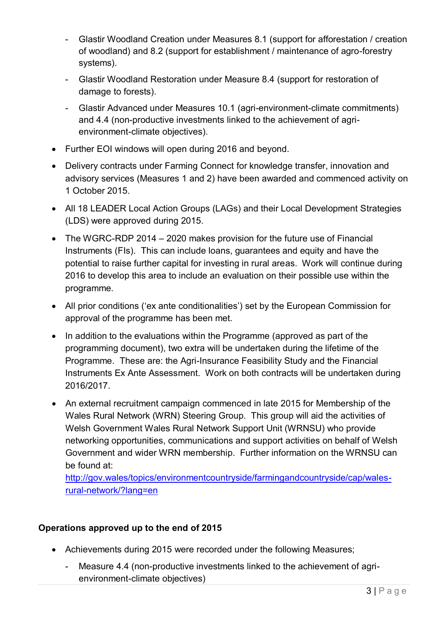- Glastir Woodland Creation under Measures 8.1 (support for afforestation / creation of woodland) and 8.2 (support for establishment / maintenance of agro-forestry systems).
- Glastir Woodland Restoration under Measure 8.4 (support for restoration of damage to forests).
- Glastir Advanced under Measures 10.1 (agri-environment-climate commitments) and 4.4 (non-productive investments linked to the achievement of agrienvironment-climate objectives).
- Further EOI windows will open during 2016 and beyond.
- Delivery contracts under Farming Connect for knowledge transfer, innovation and advisory services (Measures 1 and 2) have been awarded and commenced activity on 1 October 2015.
- All 18 LEADER Local Action Groups (LAGs) and their Local Development Strategies (LDS) were approved during 2015.
- The WGRC-RDP 2014 2020 makes provision for the future use of Financial Instruments (FIs). This can include loans, guarantees and equity and have the potential to raise further capital for investing in rural areas. Work will continue during 2016 to develop this area to include an evaluation on their possible use within the programme.
- All prior conditions ('ex ante conditionalities') set by the European Commission for approval of the programme has been met.
- In addition to the evaluations within the Programme (approved as part of the programming document), two extra will be undertaken during the lifetime of the Programme. These are: the Agri-Insurance Feasibility Study and the Financial Instruments Ex Ante Assessment. Work on both contracts will be undertaken during 2016/2017.
- An external recruitment campaign commenced in late 2015 for Membership of the Wales Rural Network (WRN) Steering Group. This group will aid the activities of Welsh Government Wales Rural Network Support Unit (WRNSU) who provide networking opportunities, communications and support activities on behalf of Welsh Government and wider WRN membership. Further information on the WRNSU can be found at:

[http://gov.wales/topics/environmentcountryside/farmingandcountryside/cap/wales](http://gov.wales/topics/environmentcountryside/farmingandcountryside/cap/wales-rural-network/?lang=en)[rural-network/?lang=en](http://gov.wales/topics/environmentcountryside/farmingandcountryside/cap/wales-rural-network/?lang=en)

## **Operations approved up to the end of 2015**

- Achievements during 2015 were recorded under the following Measures;
	- Measure 4.4 (non-productive investments linked to the achievement of agrienvironment-climate objectives)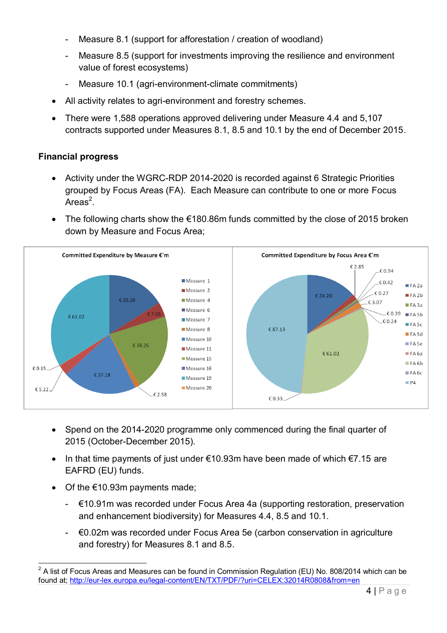- Measure 8.1 (support for afforestation / creation of woodland)
- Measure 8.5 (support for investments improving the resilience and environment value of forest ecosystems)
- Measure 10.1 (agri-environment-climate commitments)
- All activity relates to agri-environment and forestry schemes.
- There were 1,588 operations approved delivering under Measure 4.4 and 5,107 contracts supported under Measures 8.1, 8.5 and 10.1 by the end of December 2015.

### **Financial progress**

- Activity under the WGRC-RDP 2014-2020 is recorded against 6 Strategic Priorities grouped by Focus Areas (FA). Each Measure can contribute to one or more Focus Areas $^2$ .
- The following charts show the €180.86m funds committed by the close of 2015 broken down by Measure and Focus Area;



- Spend on the 2014-2020 programme only commenced during the final quarter of 2015 (October-December 2015).
- In that time payments of just under  $\epsilon$ 10.93m have been made of which  $\epsilon$ 7.15 are EAFRD (EU) funds.
- Of the €10.93m payments made;

l

- $€10.91m$  was recorded under Focus Area 4a (supporting restoration, preservation and enhancement biodiversity) for Measures 4.4, 8.5 and 10.1.
- €0.02m was recorded under Focus Area 5e (carbon conservation in agriculture and forestry) for Measures 8.1 and 8.5.

<sup>2</sup> A list of Focus Areas and Measures can be found in Commission Regulation (EU) No. 808/2014 which can be found at[; http://eur-lex.europa.eu/legal-content/EN/TXT/PDF/?uri=CELEX:32014R0808&from=en](http://eur-lex.europa.eu/legal-content/EN/TXT/PDF/?uri=CELEX:32014R0808&from=en)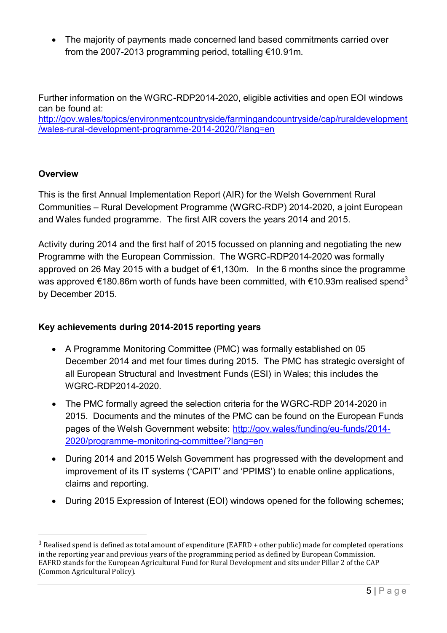The majority of payments made concerned land based commitments carried over from the 2007-2013 programming period, totalling €10.91m.

Further information on the WGRC-RDP2014-2020, eligible activities and open EOI windows can be found at: [http://gov.wales/topics/environmentcountryside/farmingandcountryside/cap/ruraldevelopment](http://gov.wales/topics/environmentcountryside/farmingandcountryside/cap/ruraldevelopment/wales-rural-development-programme-2014-2020/?lang=en) [/wales-rural-development-programme-2014-2020/?lang=en](http://gov.wales/topics/environmentcountryside/farmingandcountryside/cap/ruraldevelopment/wales-rural-development-programme-2014-2020/?lang=en)

## **Overview**

l

This is the first Annual Implementation Report (AIR) for the Welsh Government Rural Communities – Rural Development Programme (WGRC-RDP) 2014-2020, a joint European and Wales funded programme. The first AIR covers the years 2014 and 2015.

Activity during 2014 and the first half of 2015 focussed on planning and negotiating the new Programme with the European Commission. The WGRC-RDP2014-2020 was formally approved on 26 May 2015 with a budget of €1,130m. In the 6 months since the programme was approved  $\epsilon$ 180.86m worth of funds have been committed, with  $\epsilon$ 10.93m realised spend<sup>3</sup> by December 2015.

### **Key achievements during 2014-2015 reporting years**

- A Programme Monitoring Committee (PMC) was formally established on 05 December 2014 and met four times during 2015. The PMC has strategic oversight of all European Structural and Investment Funds (ESI) in Wales; this includes the WGRC-RDP2014-2020.
- The PMC formally agreed the selection criteria for the WGRC-RDP 2014-2020 in 2015. Documents and the minutes of the PMC can be found on the European Funds pages of the Welsh Government website: [http://gov.wales/funding/eu-funds/2014-](http://gov.wales/funding/eu-funds/2014-2020/programme-monitoring-committee/?lang=en) [2020/programme-monitoring-committee/?lang=en](http://gov.wales/funding/eu-funds/2014-2020/programme-monitoring-committee/?lang=en)
- During 2014 and 2015 Welsh Government has progressed with the development and improvement of its IT systems ('CAPIT' and 'PPIMS') to enable online applications, claims and reporting.
- During 2015 Expression of Interest (EOI) windows opened for the following schemes:

<sup>3</sup> Realised spend is defined as total amount of expenditure (EAFRD + other public) made for completed operations in the reporting year and previous years of the programming period as defined by European Commission. EAFRD stands for the European Agricultural Fund for Rural Development and sits under Pillar 2 of the CAP (Common Agricultural Policy).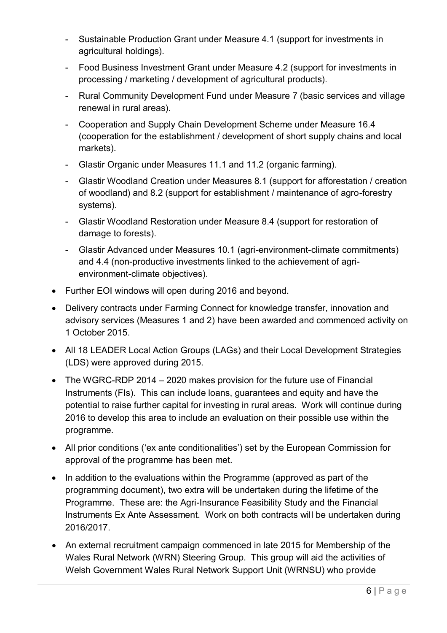- Sustainable Production Grant under Measure 4.1 (support for investments in agricultural holdings).
- Food Business Investment Grant under Measure 4.2 (support for investments in processing / marketing / development of agricultural products).
- Rural Community Development Fund under Measure 7 (basic services and village renewal in rural areas).
- Cooperation and Supply Chain Development Scheme under Measure 16.4 (cooperation for the establishment / development of short supply chains and local markets).
- Glastir Organic under Measures 11.1 and 11.2 (organic farming).
- Glastir Woodland Creation under Measures 8.1 (support for afforestation / creation of woodland) and 8.2 (support for establishment / maintenance of agro-forestry systems).
- Glastir Woodland Restoration under Measure 8.4 (support for restoration of damage to forests).
- Glastir Advanced under Measures 10.1 (agri-environment-climate commitments) and 4.4 (non-productive investments linked to the achievement of agrienvironment-climate objectives).
- Further EOI windows will open during 2016 and beyond.
- Delivery contracts under Farming Connect for knowledge transfer, innovation and advisory services (Measures 1 and 2) have been awarded and commenced activity on 1 October 2015.
- All 18 LEADER Local Action Groups (LAGs) and their Local Development Strategies (LDS) were approved during 2015.
- The WGRC-RDP 2014 2020 makes provision for the future use of Financial Instruments (FIs). This can include loans, guarantees and equity and have the potential to raise further capital for investing in rural areas. Work will continue during 2016 to develop this area to include an evaluation on their possible use within the programme.
- All prior conditions ('ex ante conditionalities') set by the European Commission for approval of the programme has been met.
- In addition to the evaluations within the Programme (approved as part of the programming document), two extra will be undertaken during the lifetime of the Programme. These are: the Agri-Insurance Feasibility Study and the Financial Instruments Ex Ante Assessment. Work on both contracts will be undertaken during 2016/2017.
- An external recruitment campaign commenced in late 2015 for Membership of the Wales Rural Network (WRN) Steering Group. This group will aid the activities of Welsh Government Wales Rural Network Support Unit (WRNSU) who provide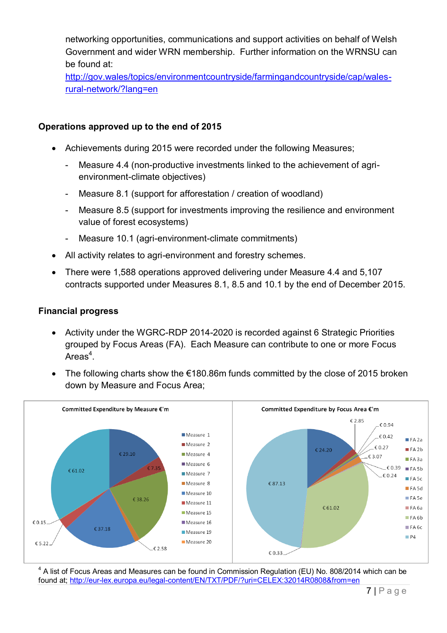networking opportunities, communications and support activities on behalf of Welsh Government and wider WRN membership. Further information on the WRNSU can be found at:

[http://gov.wales/topics/environmentcountryside/farmingandcountryside/cap/wales](http://gov.wales/topics/environmentcountryside/farmingandcountryside/cap/wales-rural-network/?lang=en)[rural-network/?lang=en](http://gov.wales/topics/environmentcountryside/farmingandcountryside/cap/wales-rural-network/?lang=en)

#### **Operations approved up to the end of 2015**

- Achievements during 2015 were recorded under the following Measures;
	- Measure 4.4 (non-productive investments linked to the achievement of agrienvironment-climate objectives)
	- Measure 8.1 (support for afforestation / creation of woodland)
	- Measure 8.5 (support for investments improving the resilience and environment value of forest ecosystems)
	- Measure 10.1 (agri-environment-climate commitments)
- All activity relates to agri-environment and forestry schemes.
- There were 1,588 operations approved delivering under Measure 4.4 and 5,107 contracts supported under Measures 8.1, 8.5 and 10.1 by the end of December 2015.

#### **Financial progress**

- Activity under the WGRC-RDP 2014-2020 is recorded against 6 Strategic Priorities grouped by Focus Areas (FA). Each Measure can contribute to one or more Focus Areas $4$ .
- The following charts show the €180.86m funds committed by the close of 2015 broken down by Measure and Focus Area;



<sup>4</sup> A list of Focus Areas and Measures can be found in Commission Regulation (EU) No. 808/2014 which can be found at[; http://eur-lex.europa.eu/legal-content/EN/TXT/PDF/?uri=CELEX:32014R0808&from=en](http://eur-lex.europa.eu/legal-content/EN/TXT/PDF/?uri=CELEX:32014R0808&from=en)